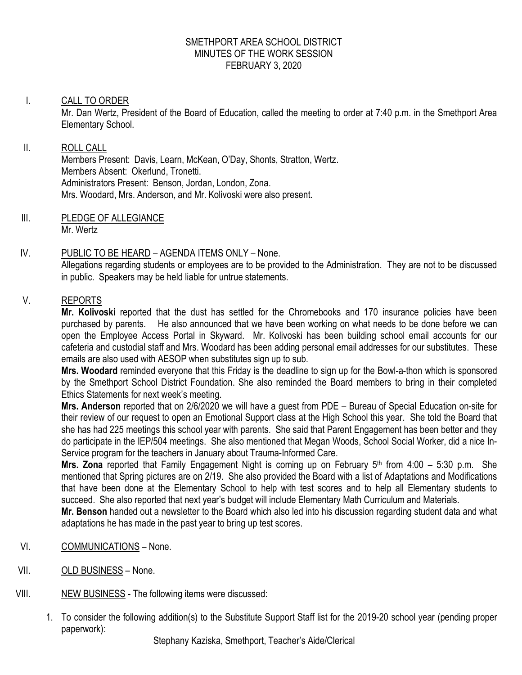#### SMETHPORT AREA SCHOOL DISTRICT MINUTES OF THE WORK SESSION FEBRUARY 3, 2020

### I. CALL TO ORDER

Mr. Dan Wertz, President of the Board of Education, called the meeting to order at 7:40 p.m. in the Smethport Area Elementary School.

#### II. ROLL CALL

Members Present: Davis, Learn, McKean, O'Day, Shonts, Stratton, Wertz. Members Absent: Okerlund, Tronetti. Administrators Present: Benson, Jordan, London, Zona. Mrs. Woodard, Mrs. Anderson, and Mr. Kolivoski were also present.

III. PLEDGE OF ALLEGIANCE Mr. Wertz

### IV. PUBLIC TO BE HEARD – AGENDA ITEMS ONLY – None.

Allegations regarding students or employees are to be provided to the Administration. They are not to be discussed in public. Speakers may be held liable for untrue statements.

## V. REPORTS

**Mr. Kolivoski** reported that the dust has settled for the Chromebooks and 170 insurance policies have been purchased by parents. He also announced that we have been working on what needs to be done before we can open the Employee Access Portal in Skyward. Mr. Kolivoski has been building school email accounts for our cafeteria and custodial staff and Mrs. Woodard has been adding personal email addresses for our substitutes. These emails are also used with AESOP when substitutes sign up to sub.

**Mrs. Woodard** reminded everyone that this Friday is the deadline to sign up for the Bowl-a-thon which is sponsored by the Smethport School District Foundation. She also reminded the Board members to bring in their completed Ethics Statements for next week's meeting.

**Mrs. Anderson** reported that on 2/6/2020 we will have a guest from PDE – Bureau of Special Education on-site for their review of our request to open an Emotional Support class at the High School this year. She told the Board that she has had 225 meetings this school year with parents. She said that Parent Engagement has been better and they do participate in the IEP/504 meetings. She also mentioned that Megan Woods, School Social Worker, did a nice In-Service program for the teachers in January about Trauma-Informed Care.

**Mrs. Zona** reported that Family Engagement Night is coming up on February 5th from 4:00 – 5:30 p.m. She mentioned that Spring pictures are on 2/19. She also provided the Board with a list of Adaptations and Modifications that have been done at the Elementary School to help with test scores and to help all Elementary students to succeed. She also reported that next year's budget will include Elementary Math Curriculum and Materials.

**Mr. Benson** handed out a newsletter to the Board which also led into his discussion regarding student data and what adaptations he has made in the past year to bring up test scores.

- VI. COMMUNICATIONS None.
- VII. OLD BUSINESS None.
- VIII. NEW BUSINESS The following items were discussed:
	- 1. To consider the following addition(s) to the Substitute Support Staff list for the 2019-20 school year (pending proper paperwork):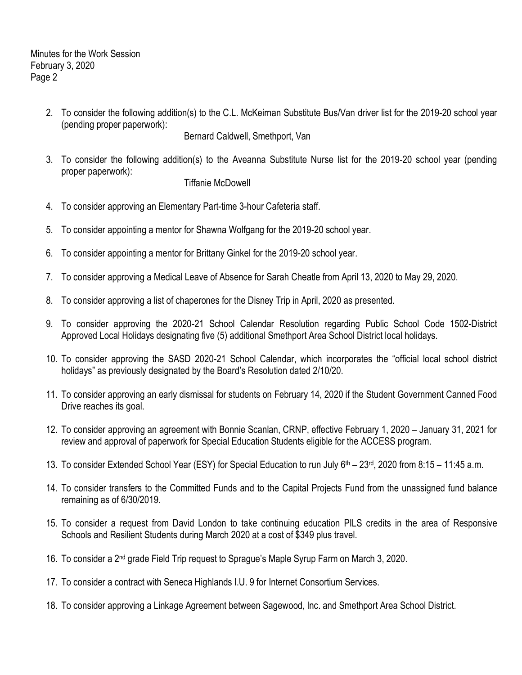Minutes for the Work Session February 3, 2020 Page 2

> 2. To consider the following addition(s) to the C.L. McKeirnan Substitute Bus/Van driver list for the 2019-20 school year (pending proper paperwork):

Bernard Caldwell, Smethport, Van

3. To consider the following addition(s) to the Aveanna Substitute Nurse list for the 2019-20 school year (pending proper paperwork):

### Tiffanie McDowell

- 4. To consider approving an Elementary Part-time 3-hour Cafeteria staff.
- 5. To consider appointing a mentor for Shawna Wolfgang for the 2019-20 school year.
- 6. To consider appointing a mentor for Brittany Ginkel for the 2019-20 school year.
- 7. To consider approving a Medical Leave of Absence for Sarah Cheatle from April 13, 2020 to May 29, 2020.
- 8. To consider approving a list of chaperones for the Disney Trip in April, 2020 as presented.
- 9. To consider approving the 2020-21 School Calendar Resolution regarding Public School Code 1502-District Approved Local Holidays designating five (5) additional Smethport Area School District local holidays.
- 10. To consider approving the SASD 2020-21 School Calendar, which incorporates the "official local school district holidays" as previously designated by the Board's Resolution dated 2/10/20.
- 11. To consider approving an early dismissal for students on February 14, 2020 if the Student Government Canned Food Drive reaches its goal.
- 12. To consider approving an agreement with Bonnie Scanlan, CRNP, effective February 1, 2020 January 31, 2021 for review and approval of paperwork for Special Education Students eligible for the ACCESS program.
- 13. To consider Extended School Year (ESY) for Special Education to run July 6th 23rd, 2020 from 8:15 11:45 a.m.
- 14. To consider transfers to the Committed Funds and to the Capital Projects Fund from the unassigned fund balance remaining as of 6/30/2019.
- 15. To consider a request from David London to take continuing education PILS credits in the area of Responsive Schools and Resilient Students during March 2020 at a cost of \$349 plus travel.
- 16. To consider a 2nd grade Field Trip request to Sprague's Maple Syrup Farm on March 3, 2020.
- 17. To consider a contract with Seneca Highlands I.U. 9 for Internet Consortium Services.
- 18. To consider approving a Linkage Agreement between Sagewood, Inc. and Smethport Area School District.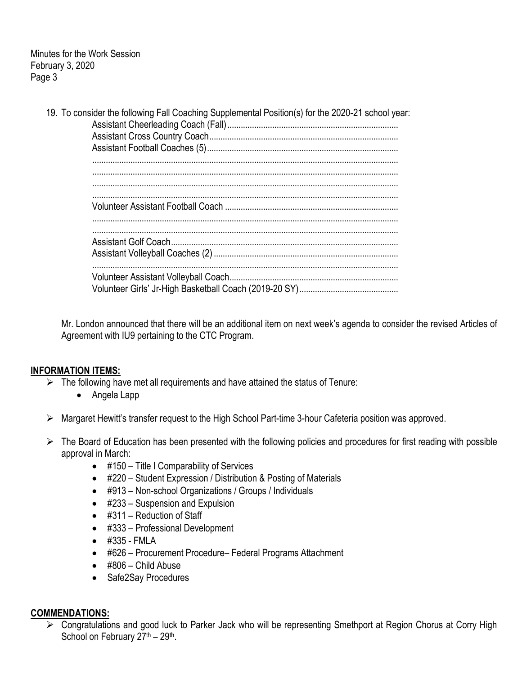Minutes for the Work Session February 3, 2020 Page 3

|  | 19. To consider the following Fall Coaching Supplemental Position(s) for the 2020-21 school year: |
|--|---------------------------------------------------------------------------------------------------|
|  |                                                                                                   |
|  |                                                                                                   |
|  |                                                                                                   |
|  |                                                                                                   |
|  |                                                                                                   |
|  |                                                                                                   |
|  |                                                                                                   |
|  |                                                                                                   |
|  |                                                                                                   |

Mr. London announced that there will be an additional item on next week's agenda to consider the revised Articles of Agreement with IU9 pertaining to the CTC Program.

### **INFORMATION ITEMS:**

- $\triangleright$  The following have met all requirements and have attained the status of Tenure:
	- Angela Lapp
- Margaret Hewitt's transfer request to the High School Part-time 3-hour Cafeteria position was approved.
- $\triangleright$  The Board of Education has been presented with the following policies and procedures for first reading with possible approval in March:
	- #150 Title I Comparability of Services
	- #220 Student Expression / Distribution & Posting of Materials
	- #913 Non-school Organizations / Groups / Individuals
	- #233 Suspension and Expulsion
	- #311 Reduction of Staff
	- #333 Professional Development
	- #335 FMLA
	- #626 Procurement Procedure– Federal Programs Attachment
	- #806 Child Abuse
	- Safe2Say Procedures

#### **COMMENDATIONS:**

 Congratulations and good luck to Parker Jack who will be representing Smethport at Region Chorus at Corry High School on February 27<sup>th</sup> - 29<sup>th</sup>.